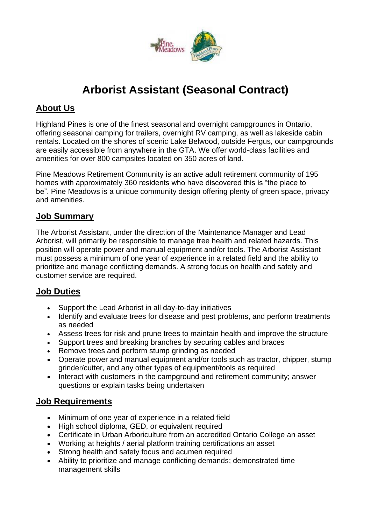

# **Arborist Assistant (Seasonal Contract)**

# **About Us**

Highland Pines is one of the finest seasonal and overnight campgrounds in Ontario, offering seasonal camping for trailers, overnight RV camping, as well as lakeside cabin rentals. Located on the shores of scenic Lake Belwood, outside Fergus, our campgrounds are easily accessible from anywhere in the GTA. We offer world-class facilities and amenities for over 800 campsites located on 350 acres of land.

Pine Meadows Retirement Community is an active adult retirement community of 195 homes with approximately 360 residents who have discovered this is "the place to be". Pine Meadows is a unique community design offering plenty of green space, privacy and amenities.

# **Job Summary**

The Arborist Assistant, under the direction of the Maintenance Manager and Lead Arborist, will primarily be responsible to manage tree health and related hazards. This position will operate power and manual equipment and/or tools. The Arborist Assistant must possess a minimum of one year of experience in a related field and the ability to prioritize and manage conflicting demands. A strong focus on health and safety and customer service are required.

#### **Job Duties**

- Support the Lead Arborist in all day-to-day initiatives
- Identify and evaluate trees for disease and pest problems, and perform treatments as needed
- Assess trees for risk and prune trees to maintain health and improve the structure
- Support trees and breaking branches by securing cables and braces
- Remove trees and perform stump grinding as needed
- Operate power and manual equipment and/or tools such as tractor, chipper, stump grinder/cutter, and any other types of equipment/tools as required
- Interact with customers in the campground and retirement community; answer questions or explain tasks being undertaken

#### **Job Requirements**

- Minimum of one year of experience in a related field
- High school diploma, GED, or equivalent required
- Certificate in Urban Arboriculture from an accredited Ontario College an asset
- Working at heights / aerial platform training certifications an asset
- Strong health and safety focus and acumen required
- Ability to prioritize and manage conflicting demands; demonstrated time management skills